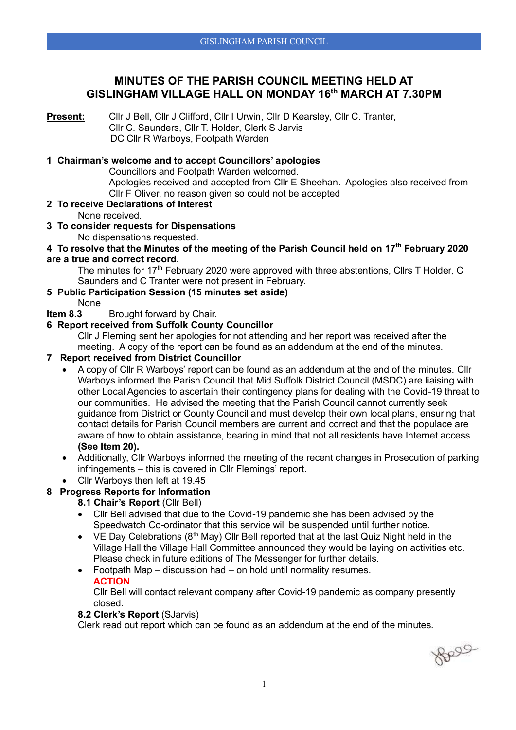# **MINUTES OF THE PARISH COUNCIL MEETING HELD AT GISLINGHAM VILLAGE HALL ON MONDAY 16th MARCH AT 7.30PM**

**Present:** Cllr J Bell, Cllr J Clifford, Cllr I Urwin, Cllr D Kearsley, Cllr C. Tranter, Cllr C. Saunders, Cllr T. Holder, Clerk S Jarvis DC Cllr R Warboys, Footpath Warden

# **1 Chairman's welcome and to accept Councillors' apologies**

Councillors and Footpath Warden welcomed.

Apologies received and accepted from Cllr E Sheehan. Apologies also received from Cllr F Oliver, no reason given so could not be accepted

- **2 To receive Declarations of Interest**
	- None received.
- **3 To consider requests for Dispensations**
	- No dispensations requested.

# **4 To resolve that the Minutes of the meeting of the Parish Council held on 17th February 2020 are a true and correct record.**

The minutes for 17<sup>th</sup> February 2020 were approved with three abstentions, Cllrs T Holder, C Saunders and C Tranter were not present in February.

# **5 Public Participation Session (15 minutes set aside)**

# None

**Item 8.3** Brought forward by Chair.

# **6 Report received from Suffolk County Councillor**

Cllr J Fleming sent her apologies for not attending and her report was received after the meeting. A copy of the report can be found as an addendum at the end of the minutes.

# **7 Report received from District Councillor**

- A copy of Cllr R Warboys' report can be found as an addendum at the end of the minutes. Cllr Warboys informed the Parish Council that Mid Suffolk District Council (MSDC) are liaising with other Local Agencies to ascertain their contingency plans for dealing with the Covid-19 threat to our communities. He advised the meeting that the Parish Council cannot currently seek guidance from District or County Council and must develop their own local plans, ensuring that contact details for Parish Council members are current and correct and that the populace are aware of how to obtain assistance, bearing in mind that not all residents have Internet access. **(See Item 20).**
- Additionally, Cllr Warboys informed the meeting of the recent changes in Prosecution of parking infringements – this is covered in Cllr Flemings' report.
- Cllr Warboys then left at 19.45

# **8 Progress Reports for Information**

- **8.1 Chair's Report** (Cllr Bell)
- Cllr Bell advised that due to the Covid-19 pandemic she has been advised by the Speedwatch Co-ordinator that this service will be suspended until further notice.
- VE Day Celebrations ( $8<sup>th</sup>$  May) Cllr Bell reported that at the last Quiz Night held in the Village Hall the Village Hall Committee announced they would be laying on activities etc. Please check in future editions of The Messenger for further details.
- Footpath Map discussion had on hold until normality resumes. **ACTION**

Cllr Bell will contact relevant company after Covid-19 pandemic as company presently closed.

# **8.2 Clerk's Report** (SJarvis)

Clerk read out report which can be found as an addendum at the end of the minutes.

Bell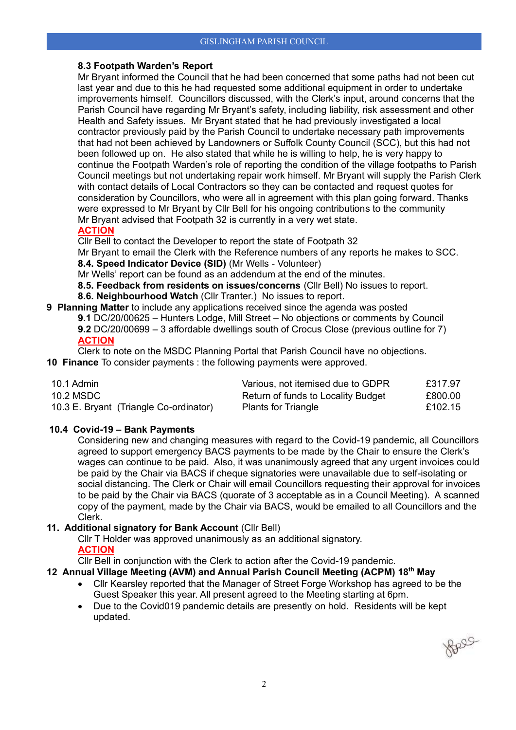### **8.3 Footpath Warden's Report**

Mr Bryant informed the Council that he had been concerned that some paths had not been cut last year and due to this he had requested some additional equipment in order to undertake improvements himself. Councillors discussed, with the Clerk's input, around concerns that the Parish Council have regarding Mr Bryant's safety, including liability, risk assessment and other Health and Safety issues. Mr Bryant stated that he had previously investigated a local contractor previously paid by the Parish Council to undertake necessary path improvements that had not been achieved by Landowners or Suffolk County Council (SCC), but this had not been followed up on. He also stated that while he is willing to help, he is very happy to continue the Footpath Warden's role of reporting the condition of the village footpaths to Parish Council meetings but not undertaking repair work himself. Mr Bryant will supply the Parish Clerk with contact details of Local Contractors so they can be contacted and request quotes for consideration by Councillors, who were all in agreement with this plan going forward. Thanks were expressed to Mr Bryant by Cllr Bell for his ongoing contributions to the community Mr Bryant advised that Footpath 32 is currently in a very wet state.

# **ACTION**

Cllr Bell to contact the Developer to report the state of Footpath 32

Mr Bryant to email the Clerk with the Reference numbers of any reports he makes to SCC.

**8.4. Speed Indicator Device (SID)** (Mr Wells - Volunteer)

Mr Wells' report can be found as an addendum at the end of the minutes.

**8.5. Feedback from residents on issues/concerns** (Cllr Bell) No issues to report.

### **8.6. Neighbourhood Watch** (Cllr Tranter.) No issues to report.

**9 Planning Matter** to include any applications received since the agenda was posted

**9.1** DC/20/00625 – Hunters Lodge, Mill Street – No objections or comments by Council

**9.2** DC/20/00699 – 3 affordable dwellings south of Crocus Close (previous outline for 7)

# **ACTION**

Clerk to note on the MSDC Planning Portal that Parish Council have no objections.

**10 Finance** To consider payments : the following payments were approved.

| 10.1 Admin                             | Various, not itemised due to GDPR  | £317.97 |
|----------------------------------------|------------------------------------|---------|
| 10.2 MSDC                              | Return of funds to Locality Budget | £800.00 |
| 10.3 E. Bryant (Triangle Co-ordinator) | <b>Plants for Triangle</b>         | £102.15 |

# **10.4 Covid-19 – Bank Payments**

Considering new and changing measures with regard to the Covid-19 pandemic, all Councillors agreed to support emergency BACS payments to be made by the Chair to ensure the Clerk's wages can continue to be paid. Also, it was unanimously agreed that any urgent invoices could be paid by the Chair via BACS if cheque signatories were unavailable due to self-isolating or social distancing. The Clerk or Chair will email Councillors requesting their approval for invoices to be paid by the Chair via BACS (quorate of 3 acceptable as in a Council Meeting). A scanned copy of the payment, made by the Chair via BACS, would be emailed to all Councillors and the Clerk.

# **11. Additional signatory for Bank Account** (Cllr Bell)

Cllr T Holder was approved unanimously as an additional signatory. **ACTION**

Cllr Bell in conjunction with the Clerk to action after the Covid-19 pandemic.

# **12 Annual Village Meeting (AVM) and Annual Parish Council Meeting (ACPM) 18th May**

- Cllr Kearsley reported that the Manager of Street Forge Workshop has agreed to be the Guest Speaker this year. All present agreed to the Meeting starting at 6pm.
- Due to the Covid019 pandemic details are presently on hold. Residents will be kept updated.

Beeg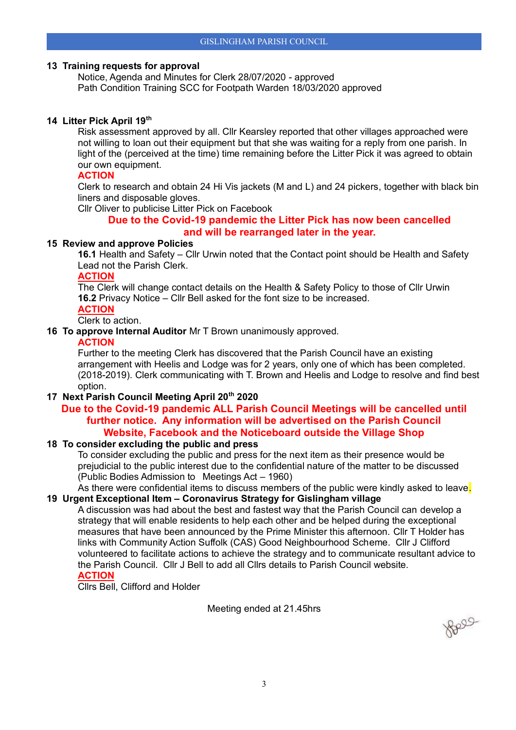### **13 Training requests for approval**

Notice, Agenda and Minutes for Clerk 28/07/2020 - approved Path Condition Training SCC for Footpath Warden 18/03/2020 approved

### **14 Litter Pick April 19th**

Risk assessment approved by all. Cllr Kearsley reported that other villages approached were not willing to loan out their equipment but that she was waiting for a reply from one parish. In light of the (perceived at the time) time remaining before the Litter Pick it was agreed to obtain our own equipment.

### **ACTION**

Clerk to research and obtain 24 Hi Vis jackets (M and L) and 24 pickers, together with black bin liners and disposable gloves.

Cllr Oliver to publicise Litter Pick on Facebook

# **Due to the Covid-19 pandemic the Litter Pick has now been cancelled and will be rearranged later in the year.**

### **15 Review and approve Policies**

**16.1** Health and Safety – Cllr Urwin noted that the Contact point should be Health and Safety Lead not the Parish Clerk.

### **ACTION**

The Clerk will change contact details on the Health & Safety Policy to those of Cllr Urwin **16.2** Privacy Notice – Cllr Bell asked for the font size to be increased.

### **ACTION**

Clerk to action.

**16 To approve Internal Auditor** Mr T Brown unanimously approved.

### **ACTION**

Further to the meeting Clerk has discovered that the Parish Council have an existing arrangement with Heelis and Lodge was for 2 years, only one of which has been completed. (2018-2019). Clerk communicating with T. Brown and Heelis and Lodge to resolve and find best option.

# **17 Next Parish Council Meeting April 20th 2020**

# **Due to the Covid-19 pandemic ALL Parish Council Meetings will be cancelled until further notice. Any information will be advertised on the Parish Council Website, Facebook and the Noticeboard outside the Village Shop**

### **18 To consider excluding the public and press**

To consider excluding the public and press for the next item as their presence would be prejudicial to the public interest due to the confidential nature of the matter to be discussed (Public Bodies Admission to Meetings Act – 1960)

As there were confidential items to discuss members of the public were kindly asked to leave. **19 Urgent Exceptional Item – Coronavirus Strategy for Gislingham village**

A discussion was had about the best and fastest way that the Parish Council can develop a strategy that will enable residents to help each other and be helped during the exceptional measures that have been announced by the Prime Minister this afternoon. Cllr T Holder has links with Community Action Suffolk (CAS) Good Neighbourhood Scheme. Cllr J Clifford volunteered to facilitate actions to achieve the strategy and to communicate resultant advice to the Parish Council. Cllr J Bell to add all Cllrs details to Parish Council website. **ACTION**

Cllrs Bell, Clifford and Holder

Meeting ended at 21.45hrs

8000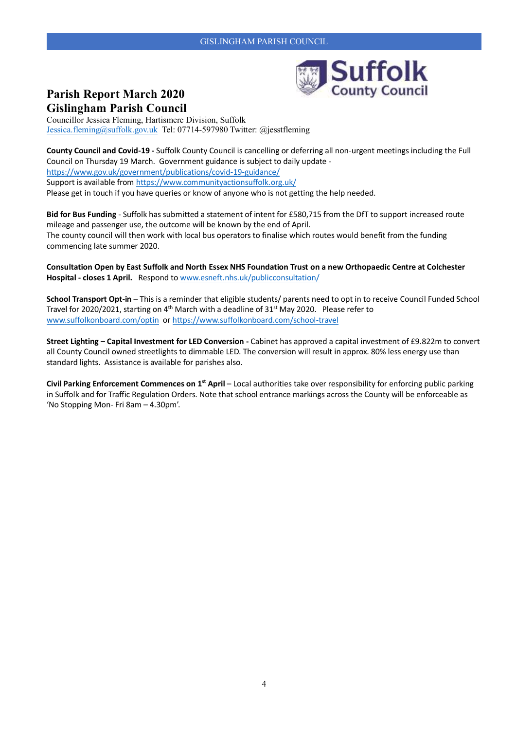

# **Parish Report March 2020 Gislingham Parish Council**

Councillor Jessica Fleming, Hartismere Division, Suffolk [Jessica.fleming@suffolk.gov.uk](mailto:Jessica.fleming@suffolk.gov.uk) Tel: 07714-597980 Twitter: @jesstfleming

**County Council and Covid-19 -** Suffolk County Council is cancelling or deferring all non-urgent meetings including the Full Council on Thursday 19 March. Government guidance is subject to daily update <https://www.gov.uk/government/publications/covid-19-guidance/> Support is available from<https://www.communityactionsuffolk.org.uk/> Please get in touch if you have queries or know of anyone who is not getting the help needed.

**Bid for Bus Funding** - Suffolk has submitted a statement of intent for £580,715 from the DfT to support increased route mileage and passenger use, the outcome will be known by the end of April. The county council will then work with local bus operators to finalise which routes would benefit from the funding commencing late summer 2020.

**Consultation Open by East Suffolk and North Essex NHS Foundation Trust on a new Orthopaedic Centre at Colchester Hospital - closes 1 April.** Respond to [www.esneft.nhs.uk/publicconsultation/](http://www.esneft.nhs.uk/publicconsultation/) 

**School Transport Opt-in** – This is a reminder that eligible students/ parents need to opt in to receive Council Funded School Travel for 2020/2021, starting on 4<sup>th</sup> March with a deadline of 31<sup>st</sup> May 2020. Please refer to [www.suffolkonboard.com/optin](http://www.suffolkonboard.com/optin) or<https://www.suffolkonboard.com/school-travel>

**Street Lighting – Capital Investment for LED Conversion -** Cabinet has approved a capital investment of £9.822m to convert all County Council owned streetlights to dimmable LED. The conversion will result in approx. 80% less energy use than standard lights. Assistance is available for parishes also.

**Civil Parking Enforcement Commences on 1st April** – Local authorities take over responsibility for enforcing public parking in Suffolk and for Traffic Regulation Orders. Note that school entrance markings across the County will be enforceable as 'No Stopping Mon- Fri 8am – 4.30pm'.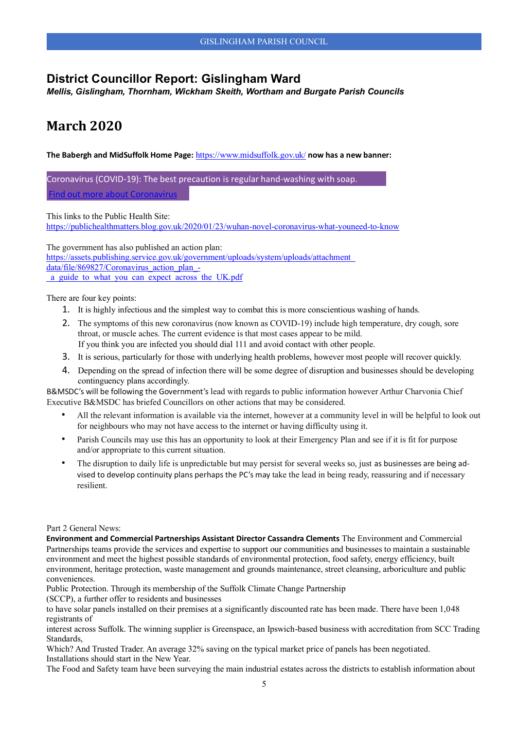# **District Councillor Report: Gislingham Ward**

*Mellis, Gislingham, Thornham, Wickham Skeith, Wortham and Burgate Parish Councils* 

# **March 2020**

**The Babergh and MidSuffolk Home Page:** <https://www.midsuffolk.gov.uk/> **now has a new banner:** 

Coronavirus (COVID-19): The best precaution is regular hand-washing with soap.

[Find out more about Coronavirus](https://publichealthmatters.blog.gov.uk/2020/01/23/wuhan-novel-coronavirus-what-you-need-to-know/)

This links to the Public Health Site: [https://publichealthmatters.blog.gov.uk/2020/01/23/wuhan-novel-coronavirus-what-youneed-to-know](https://publichealthmatters.blog.gov.uk/2020/01/23/wuhan-novel-coronavirus-what-you-need-to-know)

The government has also published an action plan: [https://assets.publishing.service.gov.uk/government/uploads/system/uploads/attachment\\_](https://assets.publishing.service.gov.uk/government/uploads/system/uploads/attachment_data/file/869827/Coronavirus_action_plan_-_a_guide_to_what_you_can_expect_across_the_UK.pdf)  [data/file/869827/Coronavirus\\_action\\_plan\\_-](https://assets.publishing.service.gov.uk/government/uploads/system/uploads/attachment_data/file/869827/Coronavirus_action_plan_-_a_guide_to_what_you_can_expect_across_the_UK.pdf) [\\_a\\_guide\\_to\\_what\\_you\\_can\\_expect\\_across\\_the\\_UK.pdf](https://assets.publishing.service.gov.uk/government/uploads/system/uploads/attachment_data/file/869827/Coronavirus_action_plan_-_a_guide_to_what_you_can_expect_across_the_UK.pdf)

There are four key points:

- 1. It is highly infectious and the simplest way to combat this is more conscientious washing of hands.
- 2. The symptoms of this new coronavirus (now known as COVID-19) include high temperature, dry cough, sore throat, or muscle aches. The current evidence is that most cases appear to be mild. If you think you are infected you should dial 111 and avoid contact with other people.
- 3. It is serious, particularly for those with underlying health problems, however most people will recover quickly.
- 4. Depending on the spread of infection there will be some degree of disruption and businesses should be developing continguency plans accordingly.

B&MSDC's will be following the Government's lead with regards to public information however Arthur Charvonia Chief Executive B&MSDC has briefed Councillors on other actions that may be considered.

- All the relevant information is available via the internet, however at a community level in will be helpful to look out for neighbours who may not have access to the internet or having difficulty using it.
- Parish Councils may use this has an opportunity to look at their Emergency Plan and see if it is fit for purpose and/or appropriate to this current situation.
- The disruption to daily life is unpredictable but may persist for several weeks so, just as businesses are being advised to develop continuity plans perhaps the PC's may take the lead in being ready, reassuring and if necessary resilient.

#### Part 2 General News:

**Environment and Commercial Partnerships Assistant Director Cassandra Clements** The Environment and Commercial Partnerships teams provide the services and expertise to support our communities and businesses to maintain a sustainable environment and meet the highest possible standards of environmental protection, food safety, energy efficiency, built environment, heritage protection, waste management and grounds maintenance, street cleansing, arboriculture and public conveniences.

Public Protection. Through its membership of the Suffolk Climate Change Partnership

(SCCP), a further offer to residents and businesses

to have solar panels installed on their premises at a significantly discounted rate has been made. There have been 1,048 registrants of

interest across Suffolk. The winning supplier is Greenspace, an Ipswich-based business with accreditation from SCC Trading Standards,

Which? And Trusted Trader. An average 32% saving on the typical market price of panels has been negotiated. Installations should start in the New Year.

The Food and Safety team have been surveying the main industrial estates across the districts to establish information about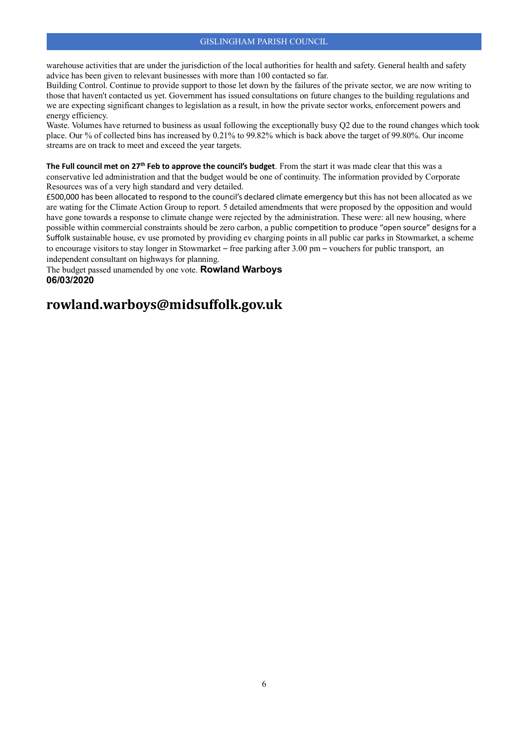#### GISLINGHAM PARISH COUNCIL

warehouse activities that are under the jurisdiction of the local authorities for health and safety. General health and safety advice has been given to relevant businesses with more than 100 contacted so far.

Building Control. Continue to provide support to those let down by the failures of the private sector, we are now writing to those that haven't contacted us yet. Government has issued consultations on future changes to the building regulations and we are expecting significant changes to legislation as a result, in how the private sector works, enforcement powers and energy efficiency.

Waste. Volumes have returned to business as usual following the exceptionally busy Q2 due to the round changes which took place. Our % of collected bins has increased by 0.21% to 99.82% which is back above the target of 99.80%. Our income streams are on track to meet and exceed the year targets.

**The Full council met on 27th Feb to approve the council's budget**. From the start it was made clear that this was a conservative led administration and that the budget would be one of continuity. The information provided by Corporate Resources was of a very high standard and very detailed.

£500,000 has been allocated to respond to the council's declared climate emergency but this has not been allocated as we are wating for the Climate Action Group to report. 5 detailed amendments that were proposed by the opposition and would have gone towards a response to climate change were rejected by the administration. These were: all new housing, where possible within commercial constraints should be zero carbon, a public competition to produce "open source" designs for a Suffolk sustainable house, ev use promoted by providing ev charging points in all public car parks in Stowmarket, a scheme to encourage visitors to stay longer in Stowmarket – free parking after 3.00 pm – vouchers for public transport, an independent consultant on highways for planning.

The budget passed unamended by one vote. **Rowland Warboys 06/03/2020**

# **rowland.warboys@midsuffolk.gov.uk**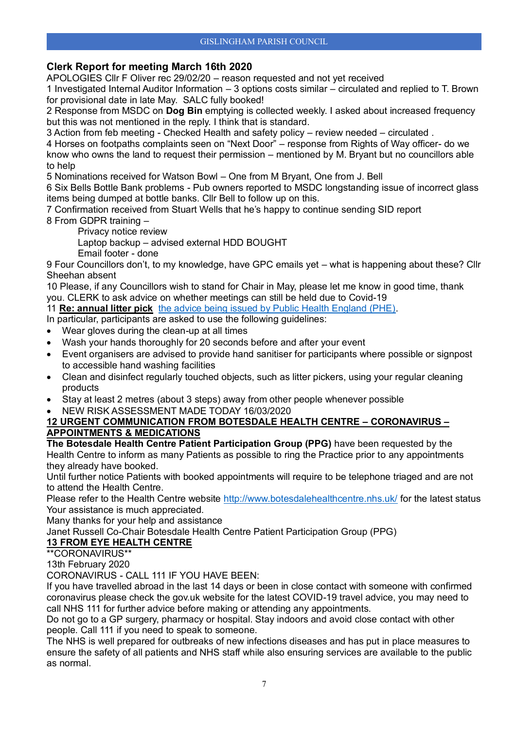# **Clerk Report for meeting March 16th 2020**

APOLOGIES Cllr F Oliver rec 29/02/20 – reason requested and not yet received

1 Investigated Internal Auditor Information – 3 options costs similar – circulated and replied to T. Brown for provisional date in late May. SALC fully booked!

2 Response from MSDC on **Dog Bin** emptying is collected weekly. I asked about increased frequency but this was not mentioned in the reply. I think that is standard.

3 Action from feb meeting - Checked Health and safety policy – review needed – circulated .

4 Horses on footpaths complaints seen on "Next Door" – response from Rights of Way officer- do we know who owns the land to request their permission – mentioned by M. Bryant but no councillors able to help

5 Nominations received for Watson Bowl – One from M Bryant, One from J. Bell

6 Six Bells Bottle Bank problems - Pub owners reported to MSDC longstanding issue of incorrect glass items being dumped at bottle banks. Cllr Bell to follow up on this.

7 Confirmation received from Stuart Wells that he's happy to continue sending SID report

8 From GDPR training –

Privacy notice review

Laptop backup – advised external HDD BOUGHT

Email footer - done

9 Four Councillors don't, to my knowledge, have GPC emails yet – what is happening about these? Cllr Sheehan absent

10 Please, if any Councillors wish to stand for Chair in May, please let me know in good time, thank you. CLERK to ask advice on whether meetings can still be held due to Covid-19

11 **Re: annual litter pick** [the advice being issued by Public Health England \(PHE\).](https://keepbritaintidy.cmail20.com/t/i-l-xjkmjy-yulrpzld-y/)

In particular, participants are asked to use the following guidelines:

- Wear gloves during the clean-up at all times
- Wash your hands thoroughly for 20 seconds before and after your event
- Event organisers are advised to provide hand sanitiser for participants where possible or signpost to accessible hand washing facilities
- Clean and disinfect regularly touched objects, such as litter pickers, using your regular cleaning products
- Stay at least 2 metres (about 3 steps) away from other people whenever possible

• NEW RISK ASSESSMENT MADE TODAY 16/03/2020

# **12 URGENT COMMUNICATION FROM BOTESDALE HEALTH CENTRE – CORONAVIRUS – APPOINTMENTS & MEDICATIONS**

**The Botesdale Health Centre Patient Participation Group (PPG)** have been requested by the Health Centre to inform as many Patients as possible to ring the Practice prior to any appointments they already have booked.

Until further notice Patients with booked appointments will require to be telephone triaged and are not to attend the Health Centre.

Please refer to the Health Centre website<http://www.botesdalehealthcentre.nhs.uk/> for the latest status Your assistance is much appreciated.

Many thanks for your help and assistance

Janet Russell Co-Chair Botesdale Health Centre Patient Participation Group (PPG)

# **13 FROM EYE HEALTH CENTRE**

\*\*CORONAVIRUS\*\*

13th February 2020

CORONAVIRUS - CALL 111 IF YOU HAVE BEEN:

If you have travelled abroad in the last 14 days or been in close contact with someone with confirmed coronavirus please check the gov.uk website for the latest COVID-19 travel advice, you may need to call NHS 111 for further advice before making or attending any appointments.

Do not go to a GP surgery, pharmacy or hospital. Stay indoors and avoid close contact with other people. Call 111 if you need to speak to someone.

The NHS is well prepared for outbreaks of new infections diseases and has put in place measures to ensure the safety of all patients and NHS staff while also ensuring services are available to the public as normal.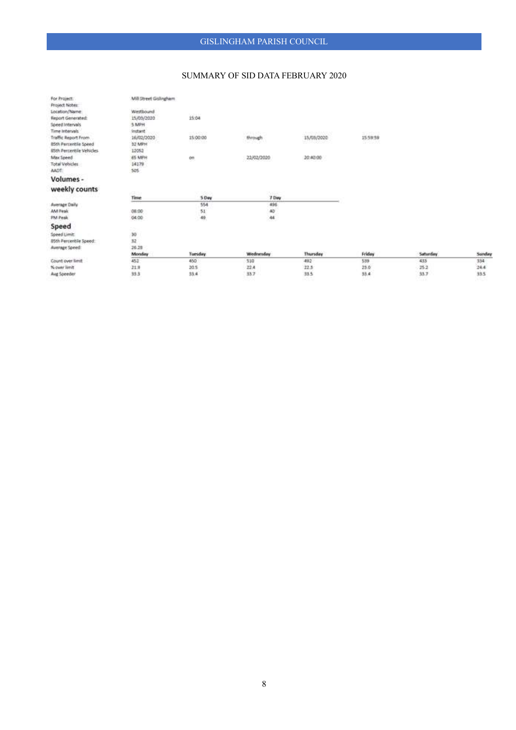### GISLINGHAM PARISH COUNCIL

### SUMMARY OF SID DATA FEBRUARY 2020

| For Project:             | Mill Street Gislingham |          |                  |            |           |          |        |  |
|--------------------------|------------------------|----------|------------------|------------|-----------|----------|--------|--|
| Project Notes:           |                        |          |                  |            |           |          |        |  |
| Location/Name            | Westbound              |          |                  |            |           |          |        |  |
| Report Generated:        | 15/03/2020             | 15:04    |                  |            |           |          |        |  |
| Speed Intervals          | 5 MPH                  |          |                  |            |           |          |        |  |
| Time Intervals           | Instant                | -53.002  | parts, agus      | ルークのありかない。 | NG-2010.  |          |        |  |
| Traffic Report From      | 16/02/2020             | 15:00:00 | through          | 15/05/2020 | 1559.59   |          |        |  |
| 85th Percentile Speed    | 32 MPH                 | 1900/08  | THE R. P. LEWIS  | 6931410391 | -1979-200 |          |        |  |
| 85th Percentile Vehicles | 12052                  |          |                  |            |           |          |        |  |
| Max Speed                | 65 MPH                 | œ        | 22/02/2020       | 20:40:00   |           |          |        |  |
| Total Vehicles           | 14179                  |          |                  |            |           |          |        |  |
| AADT:                    | 505                    |          |                  |            |           |          |        |  |
| Volumes -                |                        |          |                  |            |           |          |        |  |
| weekly counts            | 2022/01                | 2263     | 25228            |            |           |          |        |  |
|                          | Time                   | 5 Day    | 7 Day            |            |           |          |        |  |
| Average Daily            | $140 - 40$             | 554      | 496              |            |           |          |        |  |
| AAA Peak                 | 08:00                  | 51       | AQ.              |            |           |          |        |  |
| <b>PM Posk</b>           | 04.00                  | 49.      | $\frac{44}{3}$   |            |           |          |        |  |
| Speed                    |                        |          |                  |            |           |          |        |  |
| Speed Limit:             | 30                     |          |                  |            |           |          |        |  |
| 85th Percentile Speed:   | 32                     |          |                  |            |           |          |        |  |
| Average Speed:           | 26.28                  |          |                  |            |           |          |        |  |
|                          | Monday                 | Tuesday  | <b>Wednesday</b> | Thursday   | Friday    | Saturday | Sunday |  |
| Count over limit         | 452                    | 450      | 510              | 492        | 539       | 433      | 334    |  |
| % over limit             | 21.8                   | 30.5     | 22.4             | 22.5       | 23.0      | 25.2     | 24.4   |  |
| Avg Speeder              | 35.3                   | 33.4     | 33.7             | 33.5       | 33.4      | 33.7     | 33.5   |  |
|                          | n.cv                   | w        |                  | -32        |           | 41 E     | m      |  |